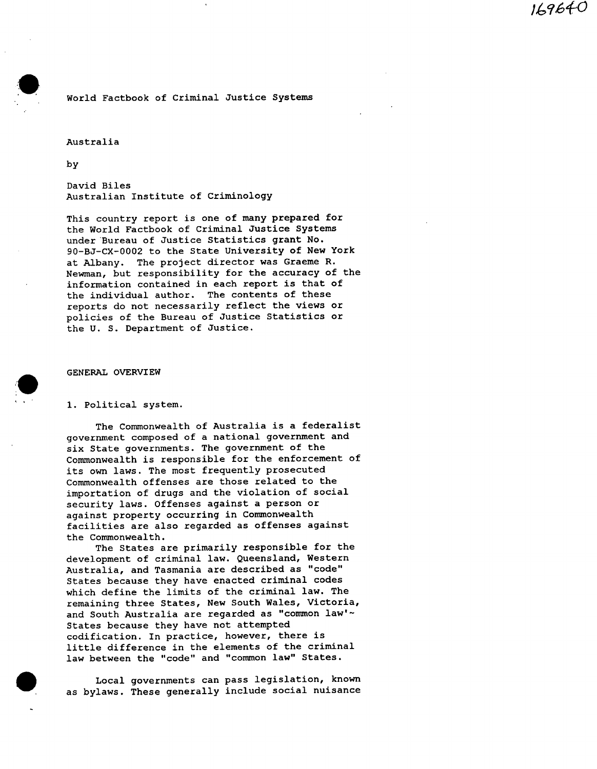169640

# World Factbook of Criminal Justice Systems

## Australia

by

David Biles Australian Institute of Criminology

This country report is one of many prepared for the World Factbook of Criminal Justice Systems under Bureau of Justice Statistics grant No. 90-BJ-CX-0002 to the State University of New York at Albany. The project director was Graeme R. Newman, but responsibility for the accuracy of the information contained in each report is that of the individual author. The contents of these reports do not necessarily reflect the views or policies of the Bureau of Justice Statistics or the U. S. Department of Justice.

#### GENERAL OVERVIEW

#### i. Political system.

The Commonwealth of Australia is a federalist government composed of a national government and six State governments. The government of the Commonwealth is responsible for the enforcement of its own laws. The most frequently prosecuted Commonwealth offenses are those related to the importation of drugs and the violation of social security laws. Offenses against a person or against property occurring in Commonwealth facilities are also regarded as offenses against the Commonwealth.

The States are primarily responsible for the development of criminal law. Queensland, Western Australia, and Tasmania are described as "code" States because they have enacted criminal codes which define the limits of the criminal law. The remaining three States, New South Wales, Victoria, and South Australia are regarded as "common law'~ States because they have not attempted codification. In practice, however, there is little difference in the elements of the criminal law between the "code" and "common law" States.

Local governments can pass legislation, known as bylaws. These generally include social nuisance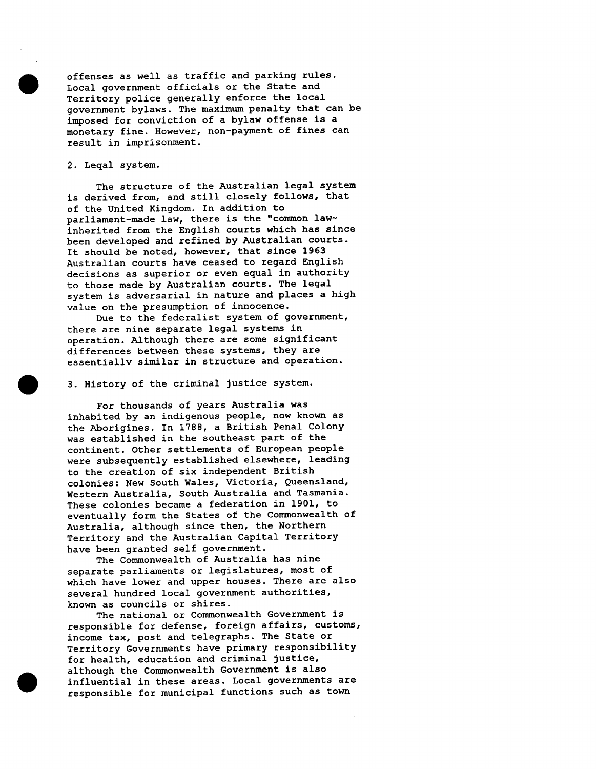offenses as well as traffic and parking rules. Local government officials or the State and Territory police generally enforce the local government bylaws. The maximum penalty that can be imposed for conviction of a bylaw offense is a monetary fine. However, non-payment of fines can result in imprisonment.

# 2. Leqal system.

The structure of the Australian legal system is derived from, and still closely follows, that of the United Kingdom. In addition to parliament-made law, there is the "common law~ inherited from the English courts which has since been developed and refined by Australian courts. It should be noted, however, that since 1963 Australian courts have ceased to regard English decisions as superior or even equal in authority to those made by Australian courts. The legal system is adversarial in nature and places a high value on the presumption of innocence.

Due to the federalist system of government, there are nine separate legal systems in operation. Although there are some significant differences between these systems, they are essentially similar in structure and operation.

3. History of the criminal justice system.

For thousands of years Australia was inhabited by an indigenous people, now known as the Aborigines. In 1788, a British Penal Colony was established in the southeast part of the continent. Other settlements of European people were subsequently established elsewhere, leading to the creation of six independent British colonies: New South Wales, Victoria, Queensland, Western Australia, South Australia and Tasmania. These colonies became a federation in 1901, to eventually form the States of the Commonwealth of Australia, although since then, the Northern Territory and the Australian Capital Territory have been granted self government.

The Commonwealth of Australia has nine separate parliaments or legislatures, most of which have lower and upper houses. There are also several hundred local government authorities, known as councils or shires.

The national or Commonwealth Government is responsible for defense, foreign affairs, customs, income tax, post and telegraphs. The State or Territory Governments have primary responsibility for health, education and criminal justice, although the Commonwealth Government is also influential in these areas. Local governments are responsible for municipal functions such as town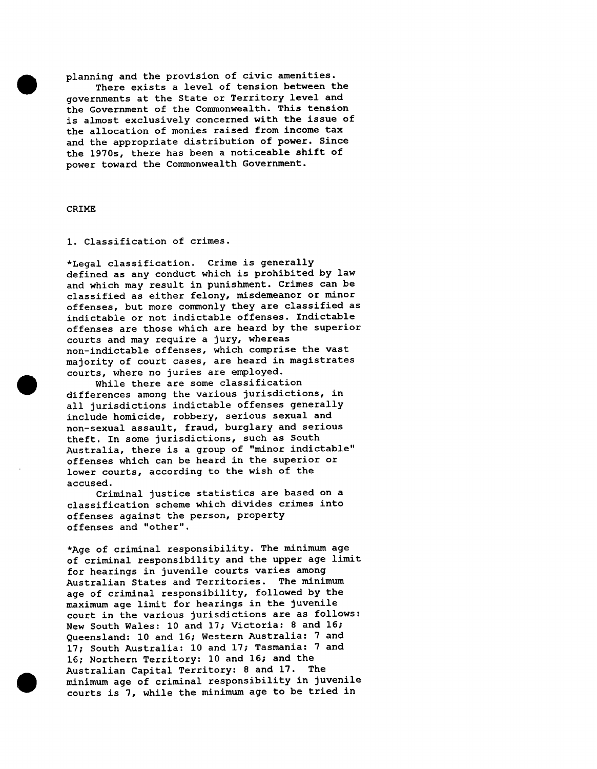planning and the provision of civic amenities. There exists a level of tension between the governments at the State or Territory level and the Government of the Commonwealth. This tension is almost exclusively concerned with the issue of the allocation of monies raised from income tax and the appropriate distribution of power. Since the 1970s, there has been a noticeable shift of power toward the Commonwealth Government.

## CRIME

## I. Classification of crimes.

\*Legal classification. Crime is generally defined as any conduct which is prohibited by law and which may result in punishment. Crimes can be classified as either felony, misdemeanor or minor offenses, but more commonly they are classified as indictable or not indictable offenses. Indictable offenses are those which are heard by the superior courts and may require a jury, whereas non-indictable offenses, which comprise the vast majority of court cases, are heard in magistrates courts, where no juries are employed.

While there are some classification differences among the various jurisdictions, in all jurisdictions indictable offenses generally include homicide, robbery, serious sexual and non-sexual assault, fraud, burglary and serious theft. In some jurisdictions, such as South Australia, there is a group of "minor indictable" offenses which can be heard in the superior or lower courts, according to the wish of the accused.

Criminal justice statistics are based on a classification scheme which divides crimes into offenses against the person, property offenses and "other".

\*Age of criminal responsibility. The minimum age of criminal responsibility and the upper age limit for hearings in juvenile courts varies among Australian States and Territories. The minimum age of criminal responsibility, followed by the maximum age limit for hearings in the juvenile court in the various jurisdictions are as follows: New South Wales: 10 and 17; Victoria: 8 and 16; Queensland: 10 and 16; Western Australia: 7 and 17; South Australia: 10 and 17; Tasmania: 7 and 16; Northern Territory: 10 and 16; and the Australian Capital Territory: 8 and 17. The minimum age of criminal responsibility in juvenile courts is 7, while the minimum age to be tried in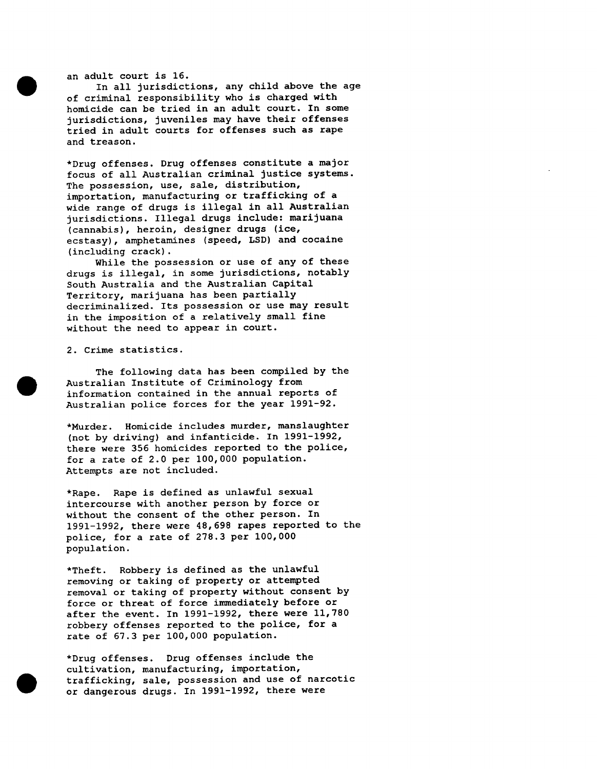an adult court is 16.

In all jurisdictions, any child above the age of criminal responsibility who is charged with homicide can be tried in an adult court. In some jurisdictions, juveniles may have their offenses tried in adult courts for offenses such as rape and treason.

\*Drug offenses. Drug offenses constitute a major focus of all Australian criminal justice systems. The possession, use, sale, distribution, importation, manufacturing or trafficking of a wide range of drugs is illegal in all Australian jurisdictions. Illegal drugs include: marijuana (cannabis), heroin, designer drugs (ice, ecstasy), amphetamines (speed, LSD) and cocaine (including crack).

While the possession or use of any of these drugs is illegal, in some jurisdictions, notably South Australia and the Australian Capital Territory, marijuana has been partially decriminalized. Its possession or use may result in the imposition of a relatively small fine without the need to appear in court.

2. Crime statistics.

The following data has been compiled by the Australian Institute of Criminology from information contained in the annual reports of Australian police forces for the year 1991-92.

\*Murder. Homicide includes murder, manslaughter (not by driving) and infanticide. In 1991-1992, there were 356 homicides reported to the police, for a rate of 2.0 per i00,000 population. Attempts are not included.

\*Rape. Rape is defined as unlawful sexual intercourse with another person by force or without the consent of the other person. In 1991-1992, there were 48,698 rapes reported to the police, for a rate of 278.3 per I00,000 population.

\*Theft. Robbery is defined as the unlawful removing or taking of property or attempted removal or taking of property without consent by force or threat of force immediately before or after the event. In 1991-1992, there were 11,780 robbery offenses reported to the police, for a rate of 67.3 per 100,000 population.

\*Drug offenses. Drug offenses include the cultivation, manufacturing, importation, trafficking, sale, possession and use of narcotic or dangerous drugs. In 1991-1992, there were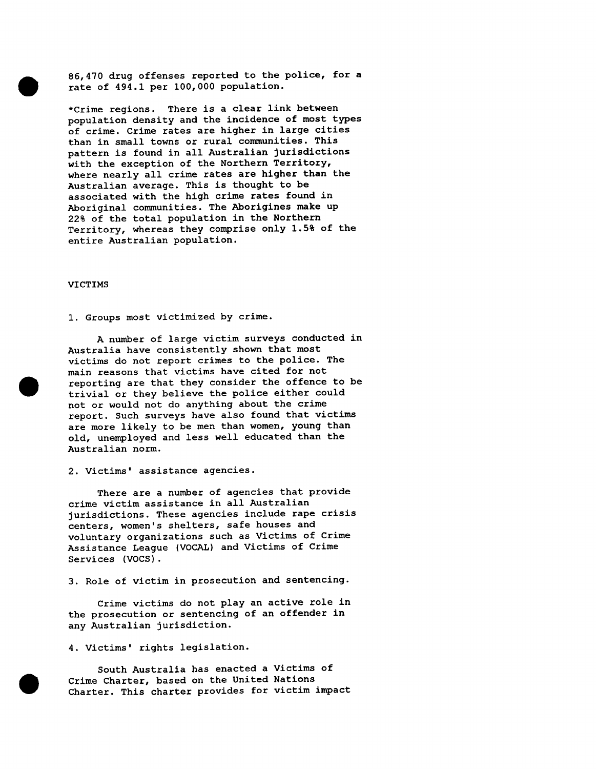86,470 drug offenses reported to the police, for a rate of 494.1 per 100,000 population.

\*Crime regions. There is a clear link between population density and the incidence of most types of crime. Crime rates are higher in large cities than in small towns or rural communities. This pattern is found in all Australian jurisdictions with the exception of the Northern Territory, where nearly all crime rates are higher than the Australian average. This is thought to be associated with the high crime rates found in Aboriginal communities. The Aborigines make up 22% of the total population in the Northern Territory, whereas they comprise only 1.5% of the entire Australian population.

#### VICTIMS

I. Groups most victimized by crime.

A number of large victim surveys conducted in Australia have consistently shown that most victims do not report crimes to the police. The main reasons that victims have cited for not reporting are that they consider the offence to be trivial or they believe the police either could not or would not do anything about the crime report. Such surveys have also found that victims are more likely to be men than women, young than old, unemployed and less well educated than the Australian norm.

2. Victims' assistance agencies.

There are a number of agencies that provide crime victim assistance in all Australian jurisdictions. These agencies include rape crisis centers, women's shelters, safe houses and voluntary organizations such as Victims of Crime Assistance League (VOCAL) and Victims of Crime Services (VOCS).

3. Role of victim in prosecution and sentencing.

Crime victims do not play an active role in the prosecution or sentencing of an offender in any Australian jurisdiction.

4. Victims' rights legislation.

South Australia has enacted a Victims of Crime Charter, based on the United Nations Charter. This charter provides for victim impact



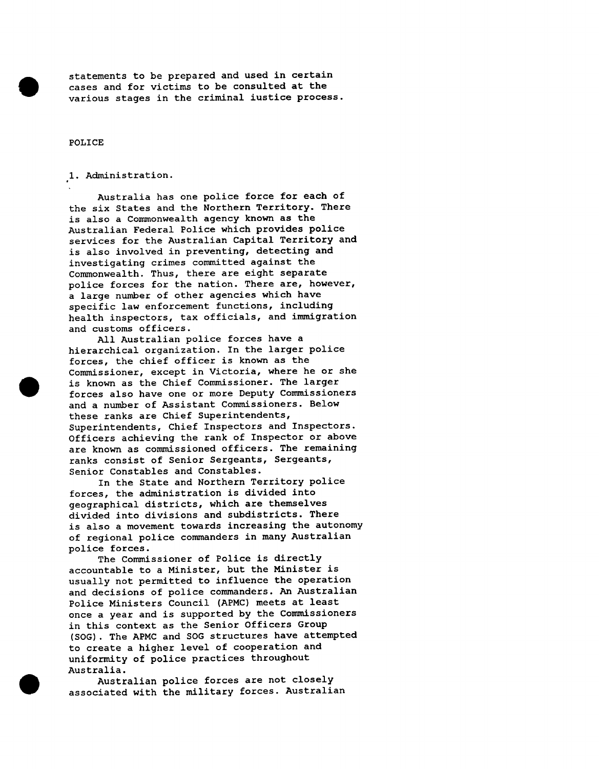statements to be prepared and used in certain cases and for victims to be consulted at the various stages in the criminal iustice process.

POLICE

I. Administration.

Australia has one police force for each of the six States and the Northern Territory. There is also a Commonwealth agency known as the Australian Federal Police which provides police services for the Australian Capital Territory and is also involved in preventing, detecting and investigating crimes committed against the Commonwealth. Thus, there are eight separate police forces for the nation. There are, however, a large number of other agencies which have specific law enforcement functions, including health inspectors, tax officials, and immigration and customs officers.

All Australian police forces have a hierarchical organization. In the larger police forces, the chief officer is known as the Commissioner, except in Victoria, where he or she is known as the Chief Commissioner. The larger forces also have one or more Deputy Commissioners and a number of Assistant Commissioners. Below these ranks are Chief Superintendents, Superintendents, Chief Inspectors and Inspectors. Officers achieving the rank of Inspector or above are known as commissioned officers. The remaining ranks consist of Senior Sergeants, Sergeants, Senior Constables and Constables.

In the State and Northern Territory police forces, the administration is divided into geographical districts, which are themselves divided into divisions and subdistricts. There is also a movement towards increasing the autonomy of regional police commanders in many Australian police forces.

The Commissioner of Police is directly accountable to a Minister, but the Minister is usually not permitted to influence the operation and decisions of police commanders. An Australian Police Ministers Council (APMC) meets at least once a year and is supported by the Commissioners in this context as the Senior Officers Group (SOG). The APMC and SOG structures have attempted to create a higher level of cooperation and uniformity of police practices throughout Australia.

Australian police forces are not closely associated with the military forces. Australian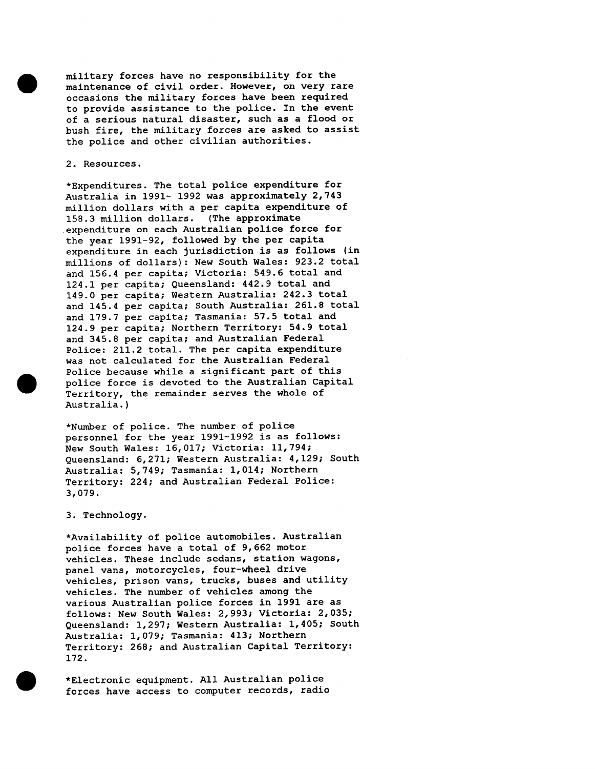military forces have no responsibility for the maintenance of civil order. However, on very rare occasions the military forces have been required to provide assistance to the police. In the event of a serious natural disaster, such as a flood or bush fire, the military forces are asked to assist the police and other civilian authorities.

### 2. Resources.

\*Expenditures. The total police expenditure for Australia in 1991- 1992 was approximately 2,743 million dollars with a per capita expenditure of 158.3 million dollars. (The approximate expenditure on each Australian police force for the year 1991-92, followed by the per capita expenditure in each jurisdiction is as follows (in millions of dollars): New South Wales: 923.2 total and 156.4 per capita; Victoria: 549.6 total and 124.1 per capita; Queensland: 442.9 total and 149.0 per capita; Western Australia: 242.3 total and 145.4 per capita; South Australia: 261.8 total and 179.7 per capita; Tasmania: 57.5 total and 124.9 per capita; Northern Territory: 54.9 total and 345.8 per capita; and Australian Federal Police: 211.2 total. The per capita expenditure was not calculated for the Australian Federal Police because while a significant part of this police force is devoted to the Australian Capital Territory, the remainder serves the whole of Australia.)

\*Number of police. The number of police personnel for the year 1991-1992 is as follows: New South Wales: 16,017; Victoria: 11,794; Queensland: 6,271; Western Australia: 4,129; South Australia: 5,749; Tasmania: 1,014; Northern Territory: 224; and Australian Federal Police: 3,079.

# 3. Technology.

\*Availability of police automobiles. Australian police forces have a total of 9,662 motor vehicles. These include sedans, station wagons, panel vans, motorcycles, four-wheel drive vehicles, prison vans, trucks, buses and utility vehicles. The number of vehicles among the various Australian police forces in 1991 are as follows: New South Wales: 2,993; Victoria: 2,035; Queensland: 1,297; Western Australia: 1,405; South Australia: 1,079; Tasmania: 413; Northern Territory: 268; and Australian Capital Territory: 172.

\*Electronic equipment. All Australian police forces have access to computer records, radio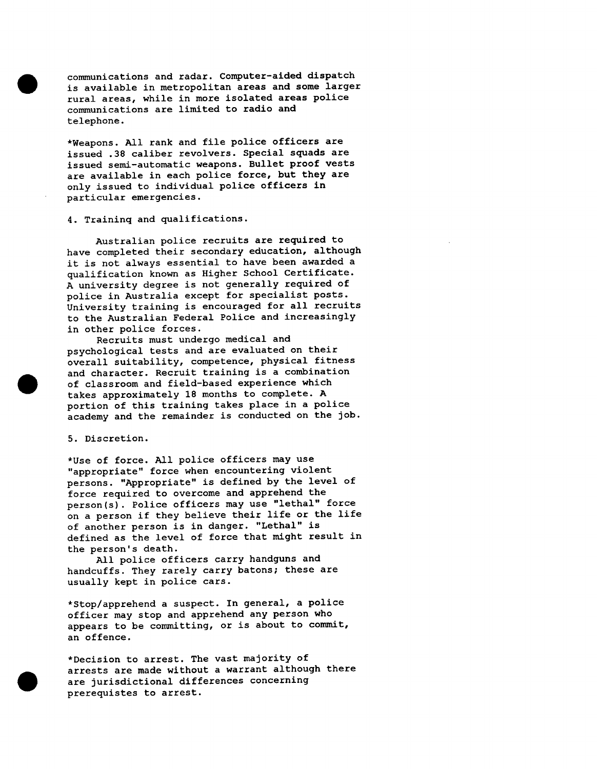communications and radar. Computer-aided dispatch is available in metropolitan areas and some larger rural areas, while in more isolated areas police communications are limited to radio and telephone.

\*Weapons. All rank and file police officers are issued .38 caliber revolvers. Special squads are issued semi-automatic weapons. Bullet proof vests are available in each police force, but they are only issued to individual police officers in particular emergencies.

### 4. Traininq and qualifications.

Australian police recruits are required to have completed their secondary education, although it is not always essential to have been awarded a qualification known as Higher School Certificate. A university degree is not generally required of police in Australia except for specialist posts. University training is encouraged for all recruits to the Australian Federal Police and increasingly in other police forces.

Recruits must undergo medical and psychological tests and are evaluated on their overall suitability, competence, physical fitness and character. Recruit training is a combination of classroom and field-based experience which takes approximately 18 months to complete. A portion of this training takes place in a police academy and the remainder is conducted on the job.

### 5. Discretion.

\*Use of force. All police officers may use "appropriate" force when encountering violent persons. "Appropriate" is defined by the level of force required to overcome and apprehend the person(s). Police officers may use "lethal" force on a person if they believe their life or the life of another person is in danger. "Lethal" is defined as the level of force that might result in the person's death.

All police officers carry handguns and handcuffs. They rarely carry batons; these are usually kept in police cars.

\*Stop/apprehend a suspect. In general, a police officer may stop and apprehend any person who appears to be committing, or is about to commit, an offence.

\*Decision to arrest. The vast majority of arrests are made without a warrant although there are jurisdictional differences concerning prerequistes to arrest.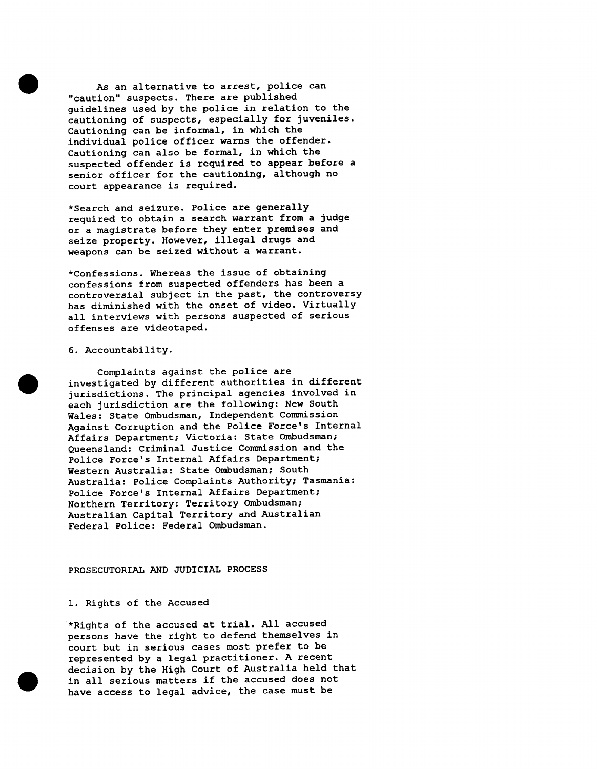As an alternative to arrest, police can "caution" suspects. There are published guidelines used by the police in relation to the cautioning of suspects, especially for juveniles. Cautioning can be informal, in which the individual police officer warns the offender. Cautioning can also be formal, in which the suspected offender is required to appear before a senior officer for the cautioning, although no court appearance is required.

\*Search and seizure. Police are generally required to obtain a search warrant from a judge or a magistrate before they enter premises and seize property. However, illegal drugs and weapons can be seized without a warrant.

\*Confessions. Whereas the issue of obtaining confessions from suspected offenders has been a controversial subject in the past, the controversy has diminished with the onset of video. Virtually all interviews with persons suspected of serious offenses are videotaped.

# 6. Accountability.

Complaints against the police are investigated by different authorities in different jurisdictions. The principal agencies involved in each jurisdiction are the following: New South Wales: State Ombudsman, Independent Commission Against Corruption and the Police Force's Internal Affairs Department; Victoria: State Ombudsman; Queensland: Criminal Justice Commission and the Police Force's Internal Affairs Department; Western Australia: State Ombudsman; South Australia: Police Complaints Authority; Tasmania: Police Force's Internal Affairs Department; Northern Territory: Territory Ombudsman; Australian Capital Territory and Australian Federal Police: Federal Ombudsman.

### PROSECUTORIAL AND JUDICIAL PROCESS

### 1. Rights of the Accused

\*Rights of the accused at trial. All accused persons have the right to defend themselves in court but in serious cases most prefer to be represented by a legal practitioner. A recent decision by the High Court of Australia held that in all serious matters if the accused does not have access to legal advice, the case must be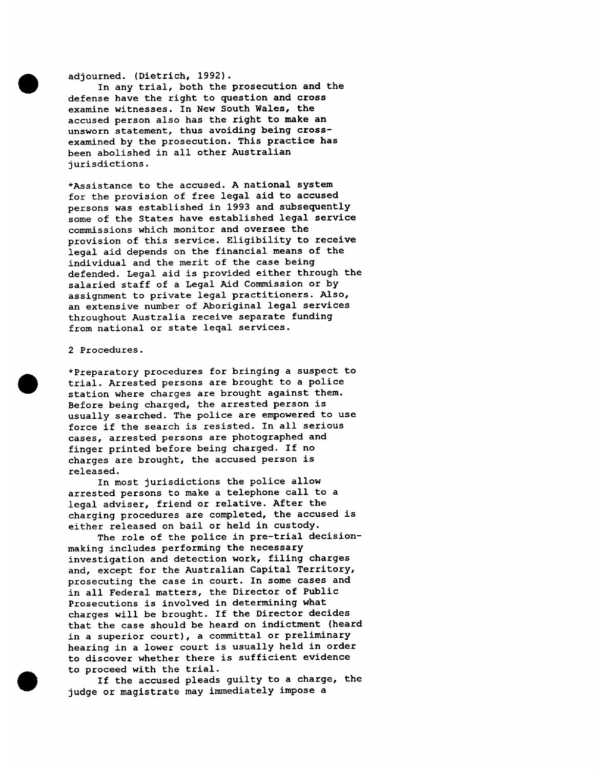# adjourned. (Dietrich, 1992).

In any trial, both the prosecution and the defense have the right to question and cross examine witnesses. In New South Wales, the accused person also has the right to make an unsworn statement, thus avoiding being crossexamined by the prosecution. This practice has been abolished in all other Australian jurisdictions.

\*Assistance to the accused. A national system for the provision of free legal aid to accused persons was established in 1993 and subsequently some of the States have established legal service commissions which monitor and oversee the provision of this service. Eligibility to receive legal aid depends on the financial means of the individual and the merit of the case being defended. Legal aid is provided either through the salaried staff of a Legal Aid Commission or by assignment to private legal practitioners. Also, an extensive number of Aboriginal legal services throughout Australia receive separate funding from national or state leqal services.

### 2 Procedures.

\*Preparatory procedures for bringing a suspect to trial. Arrested persons are brought to a police station where charges are brought against them. Before being charged, the arrested person is usually searched. The police are empowered to use force if the search is resisted. In all serious cases, arrested persons are photographed and finger printed before being charged. If no charges are brought, the accused person is released.

In most jurisdictions the police allow arrested persons to make a telephone call to a legal adviser, friend or relative. After the charging procedures are completed, the accused is either released on bail or held in custody.

The role of the police in pre-trial decisionmaking includes performing the necessary investigation and detection work, filing charges and, except for the Australian Capital Territory, prosecuting the case in court. In some cases and in all Federal matters, the Director of Public Prosecutions is involved in determining what charges will be brought. If the Director decides that the case should be heard on indictment (heard in a superior court), a committal or preliminary hearing in a lower court is usually held in order to discover whether there is sufficient evidence to proceed with the trial.

If the accused pleads guilty to a charge, the judge or magistrate may immediately impose a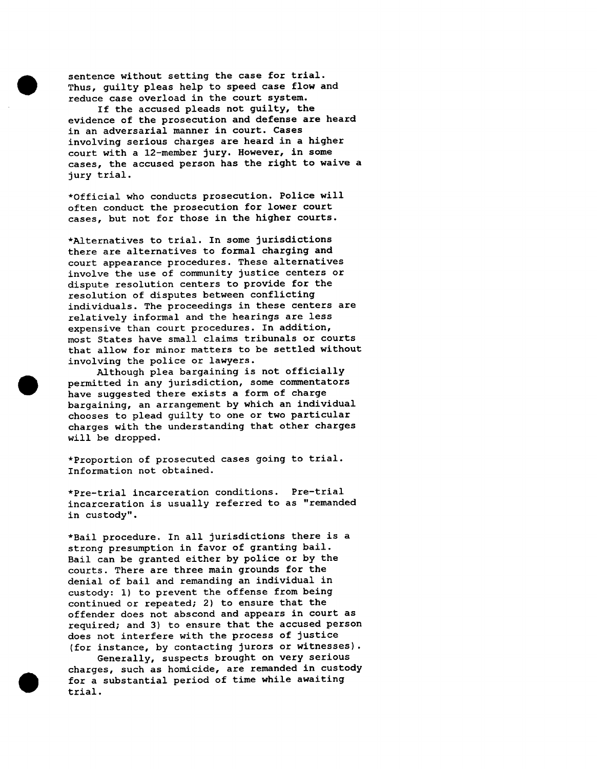sentence without setting the case for trial. Thus, guilty pleas help to speed case flow and reduce case overload in the court system.

If the accused pleads not guilty, the evidence of the prosecution and defense are heard in an adversarial manner in court. Cases involving serious charges are heard in a higher court with a 12-member jury. However, in some cases, the accused person has the right to waive a jury trial.

\*Official who conducts prosecution. Police will often conduct the prosecution for lower court cases, but not for those in the higher courts.

\*Alternatives to trial. In some jurisdictions there are alternatives to formal charging and court appearance procedures. These alternatives involve the use of community justice centers or dispute resolution centers to provide for the resolution of disputes between conflicting individuals. The proceedings in these centers are relatively informal and the hearings are less expensive than court procedures. In addition, most States have small claims tribunals or courts that allow for minor matters to be settled without involving the police or lawyers.

Although plea bargaining is not officially permitted in any jurisdiction, some commentators have suggested there exists a form of charge bargaining, an arrangement by which an individual chooses to plead guilty to one or two particular charges with the understanding that other charges will be dropped.

\*Proportion of prosecuted cases going to trial. Information not obtained.

\*Pre-trial incarceration conditions. Pre-trial incarceration is usually referred to as "remanded in custody".

\*Bail procedure. In all jurisdictions there is a strong presumption in favor of granting bail. Bail can be granted either by police or by the courts. There are three main grounds for the denial of bail and remanding an individual in custody: i) to prevent the offense from being continued or repeated; 2) to ensure that the offender does not abscond and appears in court as required; and 3) to ensure that the accused person does not interfere with the process of justice (for instance, by contacting jurors or witnesses).

Generally, suspects brought on very serious charges, such as homicide, are remanded in custody for a substantial period of time while awaiting trial.



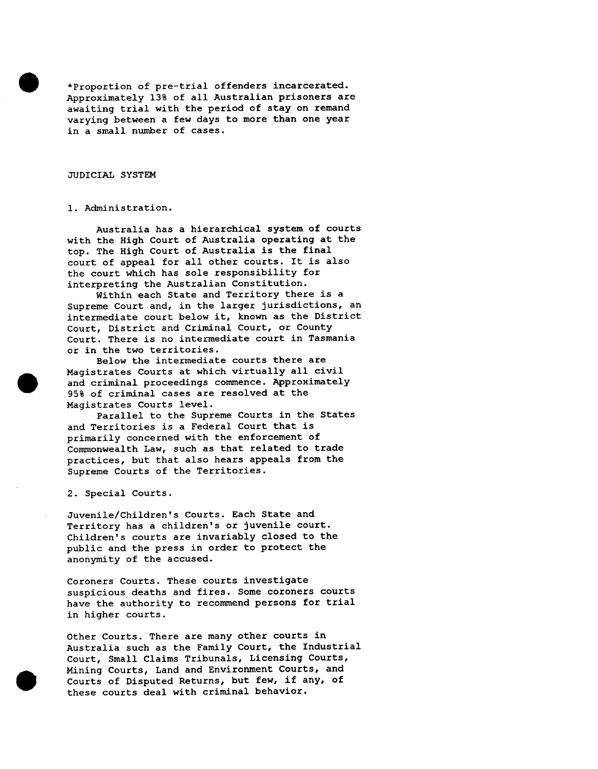\*Proportion of pre-trial offenders incarcerated. Approximately 13% of all Australian prisoners are awaiting trial with the period of stay on remand varying between a few days to more than one year in a small number of cases.

### JUDICIAL SYSTEM

### I. Administration.

Australia has a hierarchical system of courts with the High Court of Australia operating at the top. The High Court of Australia is the final court of appeal for all other courts. It is also the court which has sole responsibility for interpreting the Australian Constitution.

Within each State and Territory there is a Supreme Court and, in the larger jurisdictions, an intermediate court below it, known as the District Court, District and Criminal Court, or County Court. There is no intermediate court in Tasmania or in the two territories.

Below the intermediate courts there are Magistrates Courts at which virtually all civil and criminal proceedings commence. Approximately 95% of criminal cases are resolved at the Magistrates Courts level.

Parallel to the Supreme Courts in the States and Territories is a Federal Court that is primarily concerned with the enforcement of Commonwealth Law, such as that related to trade practices, but that also hears appeals from the Supreme Courts of the Territories.

2. Special Courts.

Juvenile/Children's Courts. Each State and Territory has a children's or juvenile court. Children's courts are invariably closed to the public and the press in order to protect the anonymity of the accused.

Coroners Courts. These courts investigate suspicious deaths and fires. Some coroners courts have the authority to recommend persons for trial in higher courts.

Other Courts. There are many other courts in Australia such as the Family Court, the Industrial Court, Small Claims Tribunals, Licensing Courts, Mining Courts, Land and Environment Courts, and Courts of Disputed Returns, but few, if any, of these courts deal with criminal behavior.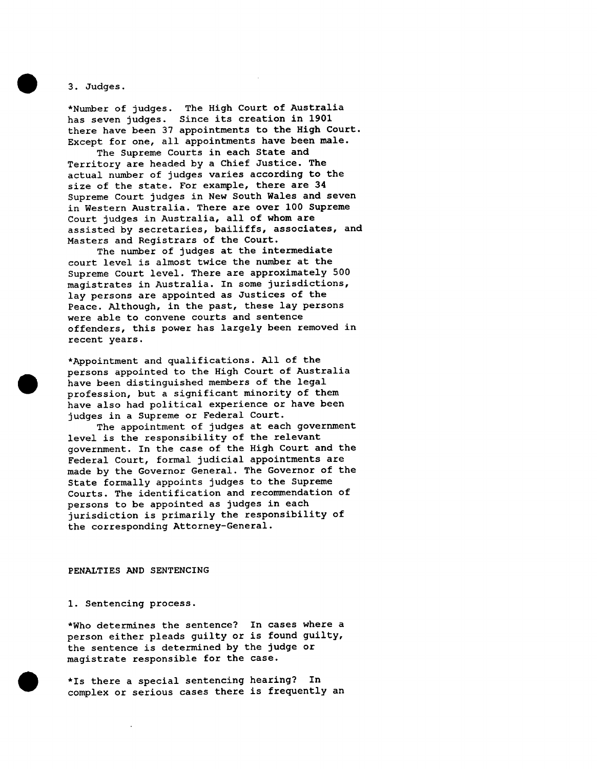3. Judges.

\*Number of judges. The High Court of Australia has seven judges. Since its creation in 1901 there have been 37 appointments to the High Court. Except for one, all appointments have been male.

The Supreme Courts in each State and Territory are headed by a Chief Justice. The actual number of judges varies according to the size of the state. For example, there are 34 Supreme Court judges in New South Wales and seven in Western Australia. There are over I00 Supreme Court judges in Australia, all of whom are assisted by secretaries, bailiffs, associates, and Masters and Registrars of the Court.

The number of judges at the intermediate court level is almost twice the number at the Supreme Court level. There are approximately 500 magistrates in Australia. In some jurisdictions, lay persons are appointed as Justices of the Peace. Although, in the past, these lay persons were able to convene courts and sentence offenders, this power has largely been removed in recent years.

\*Appointment and qualifications. All of the persons appointed to the High Court of Australia have been distinguished members of the legal profession, but a significant minority of them have also had political experience or have been judges in a Supreme or Federal Court.

The appointment of judges at each government level is the responsibility of the relevant government. In the case of the High Court and the Federal Court, formal judicial appointments are made by the Governor General. The Governor of the State formally appoints judges to the Supreme Courts. The identification and recommendation of persons to be appointed as judges in each jurisdiction is primarily the responsibility of the corresponding Attorney-General.

### PENALTIES AND SENTENCING

1. Sentencing process.

\*Who determines the sentence? In cases where a person either pleads guilty or is found guilty, the sentence is determined by the judge or magistrate responsible for the case.

\*Is there a special sentencing hearing? In complex or serious cases there is frequently an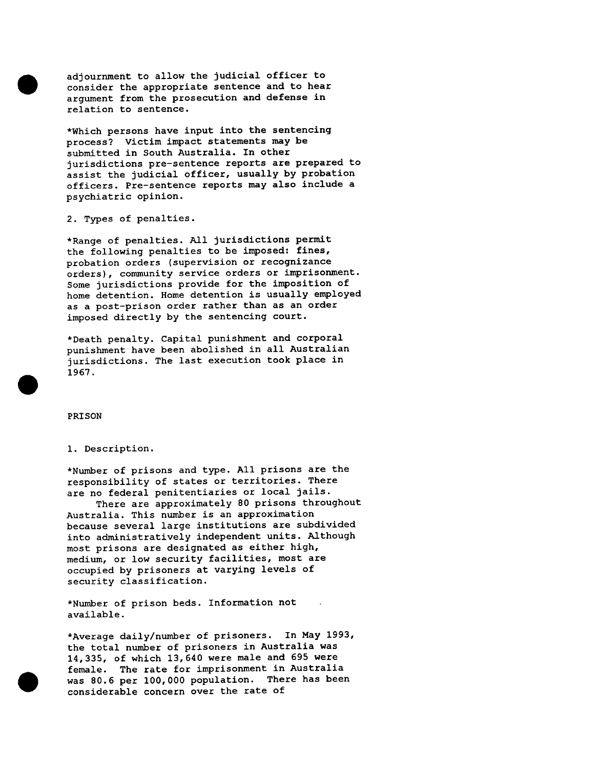adjournment to allow the judicial officer to consider the appropriate sentence and to hear argument from the prosecution and defense in relation to sentence.

\*Which persons have input into the sentencing process? Victim impact statements may be submitted in South Australia. In other jurisdictions pre-sentence reports are prepared to assist the judicial officer, usually by probation officers. Pre-sentence reports may also include a psychiatric opinion.

2. Types of penalties.

\*Range of penalties. All jurisdictions permit the following penalties to be imposed: fines, probation orders (supervision or recognizance orders), community service orders or imprisonment. Some jurisdictions provide for the imposition of home detention. Home detention is usually employed as a post-prison order rather than as an order imposed directly by the sentencing court.

\*Death penalty. Capital punishment and corporal punishment have been abolished in all Australian jurisdictions. The last execution took place in 1967.

PRISON

### i. Description.

\*Number of prisons and type. All prisons are the responsibility of states or territories. There are no federal penitentiaries or local jails.

There are approximately 80 prisons throughout Australia. This number is an approximation because several large institutions are subdivided into administratively independent units. Although most prisons are designated as either high, medium, or low security facilities, most are occupied by prisoners at varying levels of security classification.

\*Number of prison beds. Information not available.

\*Average daily/number of prisoners. In May 1993, the total number of prisoners in Australia was 14,335, of which 13,640 were male and 695 were female. The rate for imprisonment in Australia was 80.6 per 100,000 population. There has been considerable concern over the rate of

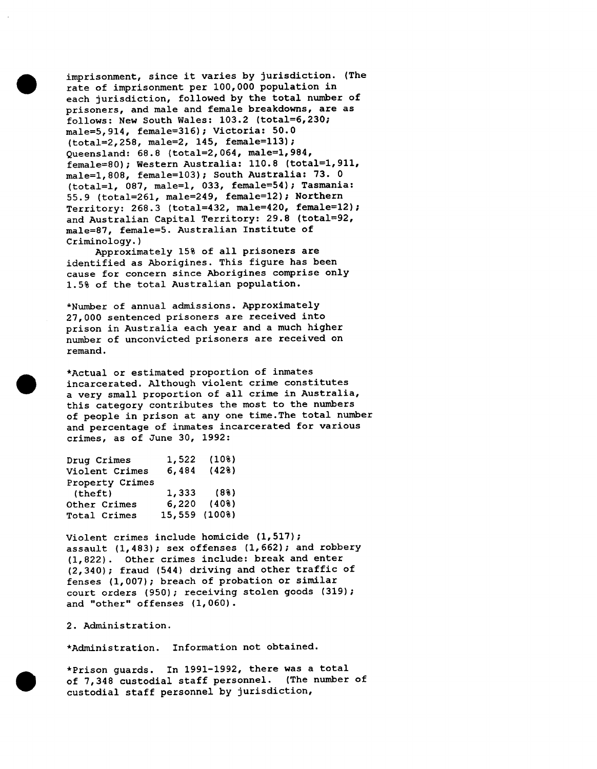imprisonment, since it varies by jurisdiction. (The rate of imprisonment per 100,000 population in each jurisdiction, followed by the total number of prisoners, and male and female breakdowns, are as follows: New South Wales: 103.2 (total=6,230; male=5,914, female=316); Victoria: 50.0 (total=2,258, male=2, 145, female=113); Queensland: 68.8 (total=2,064, male=l,984, female=80); Western Australia: 110.8 (total=l,911, male=l,808, female=103); South Australia: 73. 0 (total=l, 087, male=l, 033, female=54); Tasmania: 55.9 (total=261, male=249, female=12); Northern Territory: 268.3 (total=432, male=420, female=12); and Australian Capital Territory: 29.8 (total=92, male=87, female=5. Australian Institute of Criminology.)

Approximately 15% of all prisoners are identified as Aborigines. This figure has been cause for concern since Aborigines comprise only 1.5% of the total Australian population.

\*Number of annual admissions. Approximately 27,000 sentenced prisoners are received into prison in Australia each year and a much higher number of unconvicted prisoners are received on remand.

\*Actual or estimated proportion of inmates incarcerated. Although violent crime constitutes a very small proportion of all crime in Australia, this category contributes the most to the numbers of people in prison at any one time.The total number and percentage of inmates incarcerated for various crimes, as of June 30, 1992:

| Drug Crimes     | 1,522         | (108)     |
|-----------------|---------------|-----------|
| Violent Crimes  | 6,484         | (428)     |
| Property Crimes |               |           |
| (theft)         |               | 1,333(88) |
| Other Crimes    | 6,220         | (408)     |
| Total Crimes    | 15,559 (100%) |           |

Violent crimes include homicide (1,517); assault (1,483); sex offenses (1,662); and robbery (1,822). Other crimes include: break and enter (2,340); fraud (544) driving and other traffic of fenses (1,007); breach of probation or similar court orders (950); receiving stolen goods (319); and "other" offenses (1,060).

2. Administration.

\*Administration. Information not obtained.

\*Prison guards. In 1991-1992, there was a total of 7,348 custodial staff personnel. (The number of custodial staff personnel by jurisdiction,



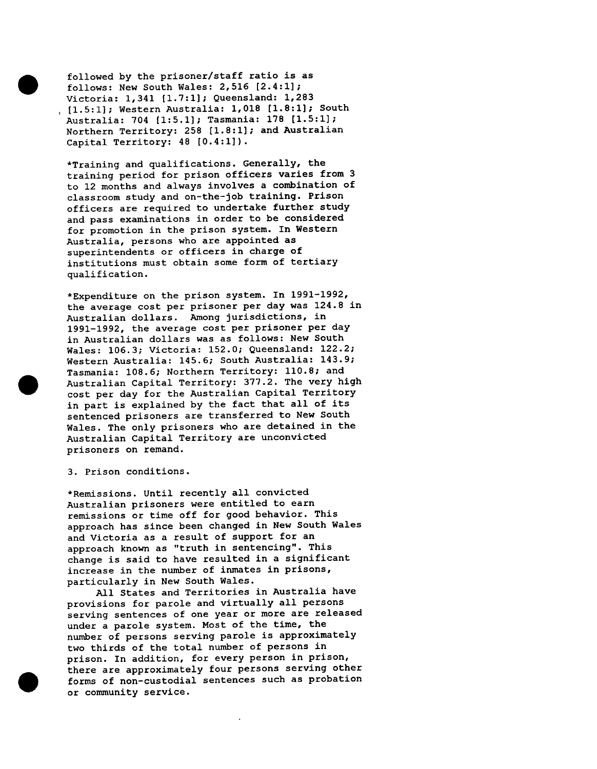followed by the prisoner/staff ratio is as follows: New South Wales: 2,516 [2.4:1]; Victoria: 1,341 [1.7:1]; Queensland: 1,283 [1.5:1]; Western Australia: 1,018 [1.8:1]; South Australia: 704 [1:5.1]; Tasmania: 178 [1.5:1]; Northern Territory: 258 [1.8:1]; and Australian Capital Territory: 48 [0.4:1]).

\*Training and qualifications. Generally, the training period for prison officers varies from 3 to 12 months and always involves a combination of classroom study and on-the-job training. Prison officers are required to undertake further study and pass examinations in order to be considered for promotion in the prison system. In Western Australia, persons who are appointed as superintendents or officers in charge of institutions must obtain some form of tertiary qualification.

\*Expenditure on the prison system. In 1991-1992, the average cost per prisoner per day was 124.8 in Australian dollars. Among jurisdictions, in 1991-1992, the average cost per prisoner per day in Australian dollars was as follows: New South Wales: 106.3; Victoria: 152.0; Queensland: 122.2; Western Australia: 145.6; South Australia: 143.9; Tasmania: 108.6; Northern Territory: 110.8; and Australian Capital Territory: 377.2. The very high cost per day for the Australian Capital Territory in part is explained by the fact that all of its sentenced prisoners are transferred to New South Wales. The only prisoners who are detained in the Australian Capital Territory are unconvicted prisoners on remand.

3. Prison conditions.

\*Remissions. Until recently all convicted Australian prisoners were entitled to earn remissions or time off for good behavior. This approach has since been changed in New South Wales and Victoria as a result of support for an approach known as "truth in sentencing". This change is said to have resulted in a significant increase in the number of inmates in prisons, particularly in New South Wales.

All States and Territories in Australia have provisions for parole and virtually all persons serving sentences of one year or more are released under a parole system. Most of the time, the number of persons serving parole is approximately two thirds of the total number of persons in prison. In addition, for every person in prison, there are approximately four persons serving other forms of non-custodial sentences such as probation or community service.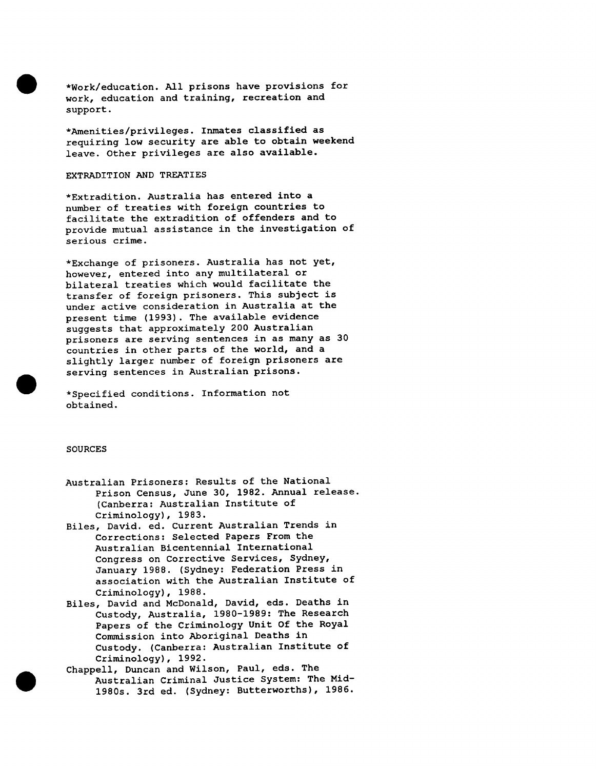\*Work/education. All prisons have provisions for work, education and training, recreation and support.

\*Amenities/privileges. Inmates classified as requiring low security are able to obtain weekend leave. Other privileges are also available.

### EXTRADITION AND TREATIES

\*Extradition. Australia has entered into a number of treaties with foreign countries to facilitate the extradition of offenders and to provide mutual assistance in the investigation of serious crime.

\*Exchange of prisoners. Australia has not yet, however, entered into any multilateral or bilateral treaties which would facilitate the transfer of foreign prisoners. This subject is under active consideration in Australia at the present time (1993). The available evidence suggests that approximately 200 Australian prisoners are serving sentences in as many as 30 countries in other parts of the world, and a slightly larger number of foreign prisoners are serving sentences in Australian prisons.

\*Specified conditions. Information not obtained.

### SOURCES

- Australian Prisoners: Results of the National Prison Census, June 30, 1982. Annual release. (Canberra: Australian Institute of Criminology), 1983.
- Biles, David. ed. Current Australian Trends in Corrections: Selected Papers From the Australian Bicentennial International Congress on Corrective Services, Sydney, January 1988. (Sydney: Federation Press in association with the Australian Institute of Criminology), 1988.
- Biles, David and McDonald, David, eds. Deaths in Custody, Australia, 1980-1989: The Research Papers of the Criminology Unit Of the Royal Commission into Aboriginal Deaths in Custody. (Canberra: Australian Institute of Criminology), 1992.
- Chappell, Duncan and Wilson, Paul, eds. The Australian Criminal Justice System: The Mid-1980s. 3rd ed. (Sydney: Butterworths), 1986.